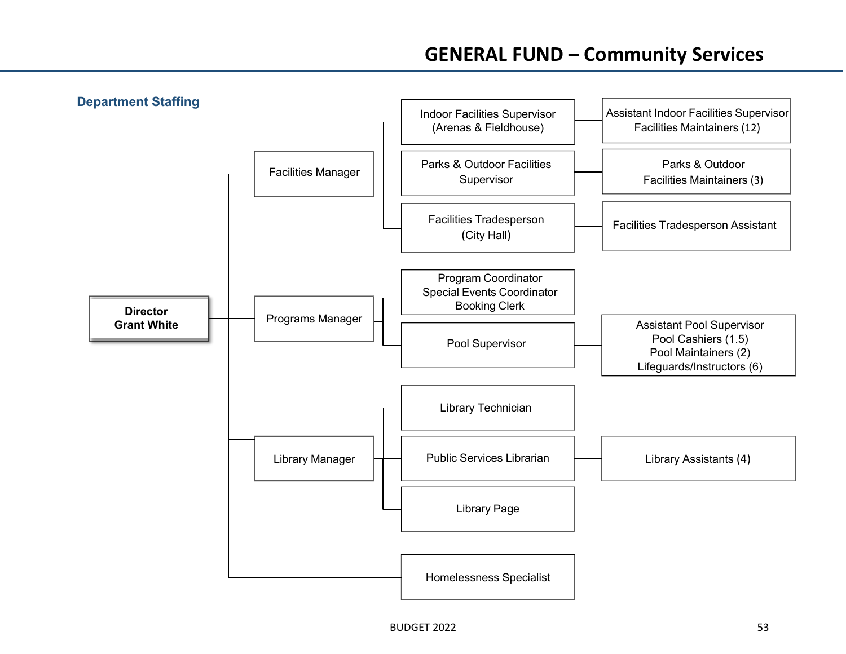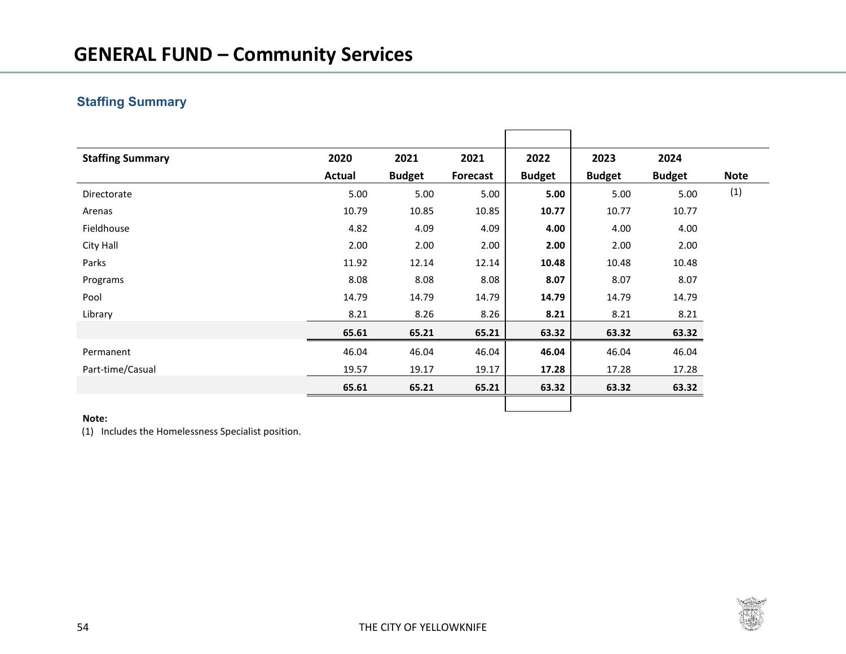## **GENERAL FUND – Community Services**

## **Staffing Summary**

| <b>Staffing Summary</b> | 2020          | 2021          | 2021     | 2022          | 2023          | 2024          |             |
|-------------------------|---------------|---------------|----------|---------------|---------------|---------------|-------------|
|                         | <b>Actual</b> | <b>Budget</b> | Forecast | <b>Budget</b> | <b>Budget</b> | <b>Budget</b> | <b>Note</b> |
| Directorate             | 5.00          | 5.00          | 5.00     | 5.00          | 5.00          | 5.00          | (1)         |
| Arenas                  | 10.79         | 10.85         | 10.85    | 10.77         | 10.77         | 10.77         |             |
| Fieldhouse              | 4.82          | 4.09          | 4.09     | 4.00          | 4.00          | 4.00          |             |
| City Hall               | 2.00          | 2.00          | 2.00     | 2.00          | 2.00          | 2.00          |             |
| Parks                   | 11.92         | 12.14         | 12.14    | 10.48         | 10.48         | 10.48         |             |
| Programs                | 8.08          | 8.08          | 8.08     | 8.07          | 8.07          | 8.07          |             |
| Pool                    | 14.79         | 14.79         | 14.79    | 14.79         | 14.79         | 14.79         |             |
| Library                 | 8.21          | 8.26          | 8.26     | 8.21          | 8.21          | 8.21          |             |
|                         | 65.61         | 65.21         | 65.21    | 63.32         | 63.32         | 63.32         |             |
| Permanent               | 46.04         | 46.04         | 46.04    | 46.04         | 46.04         | 46.04         |             |
| Part-time/Casual        | 19.57         | 19.17         | 19.17    | 17.28         | 17.28         | 17.28         |             |
|                         | 65.61         | 65.21         | 65.21    | 63.32         | 63.32         | 63.32         |             |
|                         |               |               |          |               |               |               |             |

#### **Note:**

(1) Includes the Homelessness Specialist position.

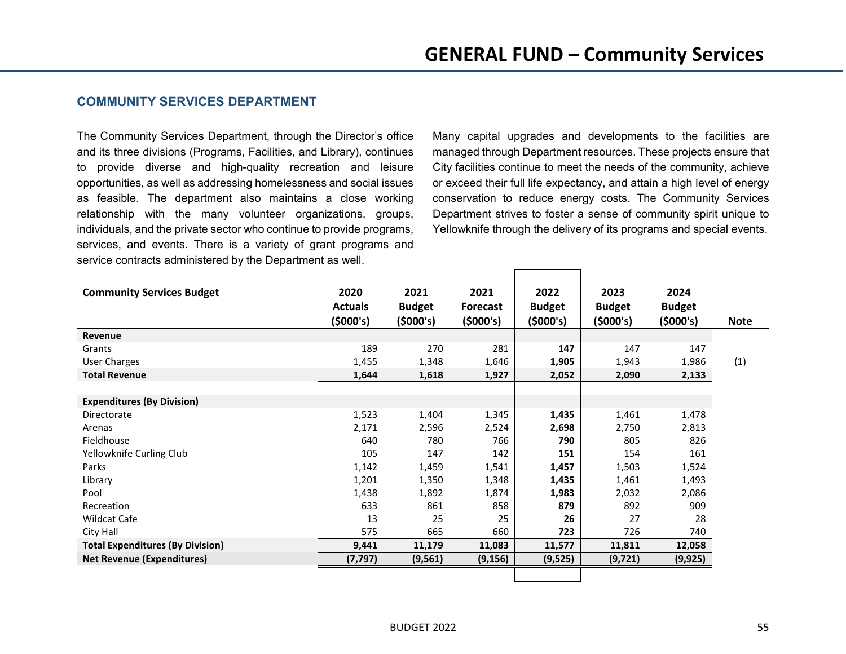### **COMMUNITY SERVICES DEPARTMENT**

The Community Services Department, through the Director's office and its three divisions (Programs, Facilities, and Library), continues to provide diverse and high-quality recreation and leisure opportunities, as well as addressing homelessness and social issues as feasible. The department also maintains a close working relationship with the many volunteer organizations, groups, individuals, and the private sector who continue to provide programs, services, and events. There is a variety of grant programs and service contracts administered by the Department as well.

Many capital upgrades and developments to the facilities are managed through Department resources. These projects ensure that City facilities continue to meet the needs of the community, achieve or exceed their full life expectancy, and attain a high level of energy conservation to reduce energy costs. The Community Services Department strives to foster a sense of community spirit unique to Yellowknife through the delivery of its programs and special events.

| <b>Community Services Budget</b>        | 2020<br><b>Actuals</b><br>(5000's) | 2021<br><b>Budget</b><br>(5000's) | 2021<br>Forecast<br>(5000's) | 2022<br><b>Budget</b><br>(5000's) | 2023<br><b>Budget</b><br>(5000's) | 2024<br><b>Budget</b><br>(5000's) | <b>Note</b> |
|-----------------------------------------|------------------------------------|-----------------------------------|------------------------------|-----------------------------------|-----------------------------------|-----------------------------------|-------------|
| Revenue                                 |                                    |                                   |                              |                                   |                                   |                                   |             |
| Grants                                  | 189                                | 270                               | 281                          | 147                               | 147                               | 147                               |             |
| User Charges                            | 1,455                              | 1,348                             | 1,646                        | 1,905                             | 1,943                             | 1,986                             | (1)         |
| <b>Total Revenue</b>                    | 1,644                              | 1,618                             | 1,927                        | 2,052                             | 2,090                             | 2,133                             |             |
|                                         |                                    |                                   |                              |                                   |                                   |                                   |             |
| <b>Expenditures (By Division)</b>       |                                    |                                   |                              |                                   |                                   |                                   |             |
| Directorate                             | 1,523                              | 1,404                             | 1,345                        | 1,435                             | 1,461                             | 1,478                             |             |
| Arenas                                  | 2,171                              | 2,596                             | 2,524                        | 2,698                             | 2,750                             | 2,813                             |             |
| Fieldhouse                              | 640                                | 780                               | 766                          | 790                               | 805                               | 826                               |             |
| Yellowknife Curling Club                | 105                                | 147                               | 142                          | 151                               | 154                               | 161                               |             |
| Parks                                   | 1,142                              | 1,459                             | 1,541                        | 1,457                             | 1,503                             | 1,524                             |             |
| Library                                 | 1,201                              | 1,350                             | 1,348                        | 1,435                             | 1,461                             | 1,493                             |             |
| Pool                                    | 1,438                              | 1,892                             | 1,874                        | 1,983                             | 2,032                             | 2,086                             |             |
| Recreation                              | 633                                | 861                               | 858                          | 879                               | 892                               | 909                               |             |
| Wildcat Cafe                            | 13                                 | 25                                | 25                           | 26                                | 27                                | 28                                |             |
| City Hall                               | 575                                | 665                               | 660                          | 723                               | 726                               | 740                               |             |
| <b>Total Expenditures (By Division)</b> | 9,441                              | 11,179                            | 11,083                       | 11,577                            | 11,811                            | 12,058                            |             |
| <b>Net Revenue (Expenditures)</b>       | (7, 797)                           | (9, 561)                          | (9, 156)                     | (9,525)                           | (9, 721)                          | (9, 925)                          |             |
|                                         |                                    |                                   |                              |                                   |                                   |                                   |             |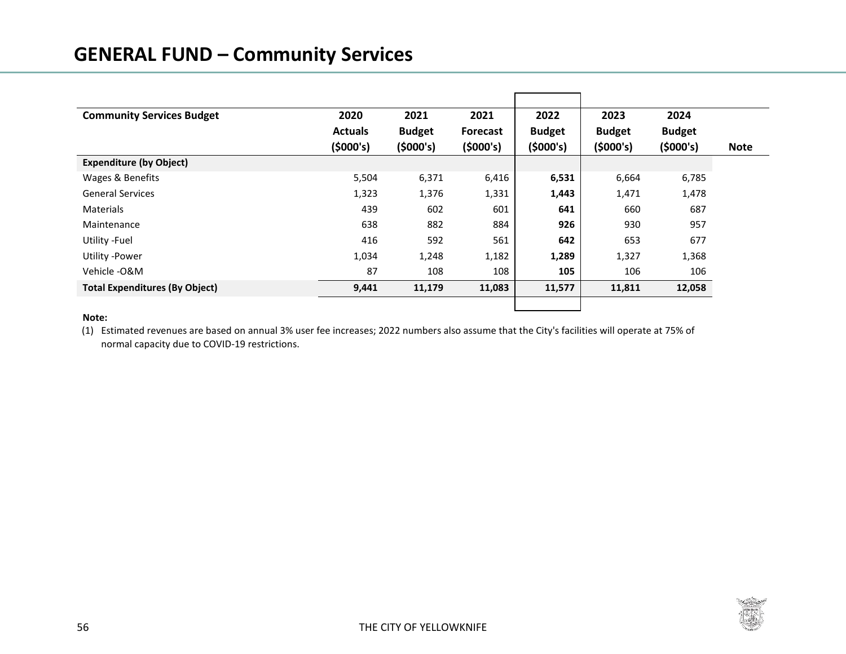## **GENERAL FUND – Community Services**

| <b>Community Services Budget</b>      | 2020           | 2021          | 2021     | 2022          | 2023          | 2024          |             |
|---------------------------------------|----------------|---------------|----------|---------------|---------------|---------------|-------------|
|                                       | <b>Actuals</b> | <b>Budget</b> | Forecast | <b>Budget</b> | <b>Budget</b> | <b>Budget</b> |             |
|                                       | (5000's)       | (5000's)      | (5000's) | (5000's)      | (5000's)      | (5000's)      | <b>Note</b> |
| <b>Expenditure (by Object)</b>        |                |               |          |               |               |               |             |
| Wages & Benefits                      | 5,504          | 6,371         | 6,416    | 6,531         | 6,664         | 6,785         |             |
| <b>General Services</b>               | 1,323          | 1,376         | 1,331    | 1,443         | 1,471         | 1,478         |             |
| <b>Materials</b>                      | 439            | 602           | 601      | 641           | 660           | 687           |             |
| Maintenance                           | 638            | 882           | 884      | 926           | 930           | 957           |             |
| Utility - Fuel                        | 416            | 592           | 561      | 642           | 653           | 677           |             |
| <b>Utility -Power</b>                 | 1,034          | 1,248         | 1,182    | 1,289         | 1,327         | 1,368         |             |
| Vehicle - O&M                         | 87             | 108           | 108      | 105           | 106           | 106           |             |
| <b>Total Expenditures (By Object)</b> | 9,441          | 11,179        | 11,083   | 11,577        | 11,811        | 12,058        |             |
|                                       |                |               |          |               |               |               |             |

#### **Note:**

(1) Estimated revenues are based on annual 3% user fee increases; 2022 numbers also assume that the City's facilities will operate at 75% of normal capacity due to COVID-19 restrictions.

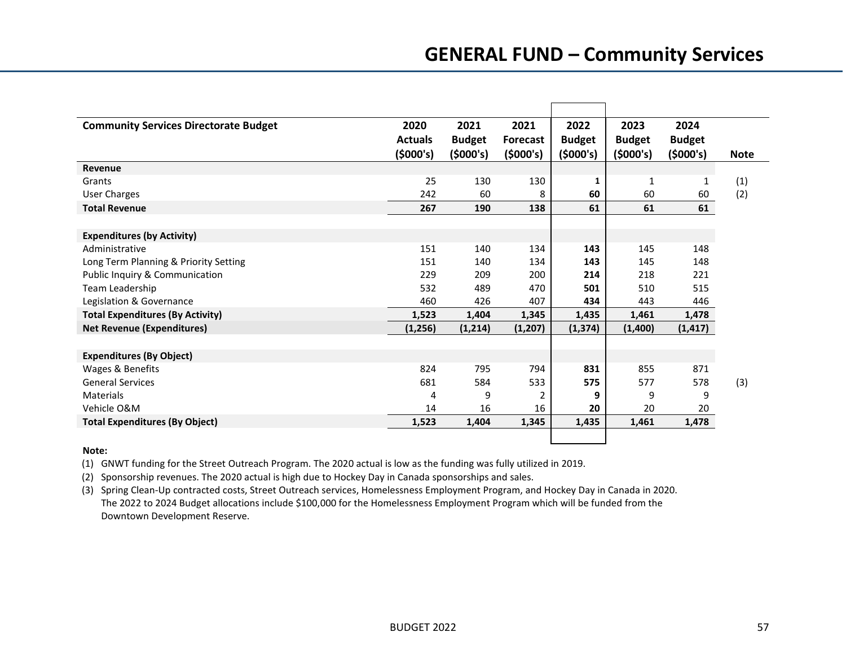| <b>Community Services Directorate Budget</b> | 2020           | 2021          | 2021           | 2022          | 2023          | 2024          |             |
|----------------------------------------------|----------------|---------------|----------------|---------------|---------------|---------------|-------------|
|                                              | <b>Actuals</b> | <b>Budget</b> | Forecast       | <b>Budget</b> | <b>Budget</b> | <b>Budget</b> |             |
|                                              | (5000's)       | (5000's)      | (5000's)       | (5000's)      | (5000's)      | (5000's)      | <b>Note</b> |
| Revenue                                      |                |               |                |               |               |               |             |
| Grants                                       | 25             | 130           | 130            | 1             | 1             | 1             | (1)         |
| <b>User Charges</b>                          | 242            | 60            | 8              | 60            | 60            | 60            | (2)         |
| <b>Total Revenue</b>                         | 267            | 190           | 138            | 61            | 61            | 61            |             |
|                                              |                |               |                |               |               |               |             |
| <b>Expenditures (by Activity)</b>            |                |               |                |               |               |               |             |
| Administrative                               | 151            | 140           | 134            | 143           | 145           | 148           |             |
| Long Term Planning & Priority Setting        | 151            | 140           | 134            | 143           | 145           | 148           |             |
| Public Inquiry & Communication               | 229            | 209           | 200            | 214           | 218           | 221           |             |
| Team Leadership                              | 532            | 489           | 470            | 501           | 510           | 515           |             |
| Legislation & Governance                     | 460            | 426           | 407            | 434           | 443           | 446           |             |
| <b>Total Expenditures (By Activity)</b>      | 1,523          | 1,404         | 1,345          | 1,435         | 1,461         | 1,478         |             |
| <b>Net Revenue (Expenditures)</b>            | (1,256)        | (1,214)       | (1, 207)       | (1, 374)      | (1,400)       | (1, 417)      |             |
|                                              |                |               |                |               |               |               |             |
| <b>Expenditures (By Object)</b>              |                |               |                |               |               |               |             |
| Wages & Benefits                             | 824            | 795           | 794            | 831           | 855           | 871           |             |
| <b>General Services</b>                      | 681            | 584           | 533            | 575           | 577           | 578           | (3)         |
| Materials                                    | 4              | 9             | $\overline{2}$ | 9             | 9             | 9             |             |
| Vehicle O&M                                  | 14             | 16            | 16             | 20            | 20            | 20            |             |
| <b>Total Expenditures (By Object)</b>        | 1,523          | 1,404         | 1,345          | 1,435         | 1,461         | 1,478         |             |
|                                              |                |               |                |               |               |               |             |

#### **Note:**

(1) GNWT funding for the Street Outreach Program. The 2020 actual is low as the funding was fully utilized in 2019.

(2) Sponsorship revenues. The 2020 actual is high due to Hockey Day in Canada sponsorships and sales.

(3) Spring Clean-Up contracted costs, Street Outreach services, Homelessness Employment Program, and Hockey Day in Canada in 2020. The 2022 to 2024 Budget allocations include \$100,000 for the Homelessness Employment Program which will be funded from the Downtown Development Reserve.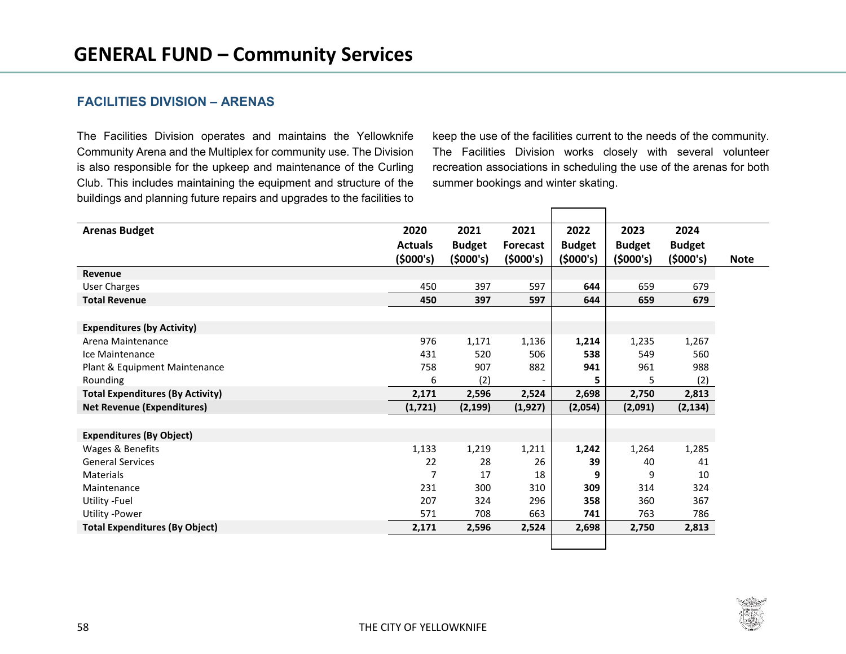## **FACILITIES DIVISION – ARENAS**

The Facilities Division operates and maintains the Yellowknife Community Arena and the Multiplex for community use. The Division is also responsible for the upkeep and maintenance of the Curling Club. This includes maintaining the equipment and structure of the buildings and planning future repairs and upgrades to the facilities to keep the use of the facilities current to the needs of the community. The Facilities Division works closely with several volunteer recreation associations in scheduling the use of the arenas for both summer bookings and winter skating.

| <b>Arenas Budget</b>                    | 2020           | 2021          | 2021            | 2022          | 2023          | 2024          |             |
|-----------------------------------------|----------------|---------------|-----------------|---------------|---------------|---------------|-------------|
|                                         | <b>Actuals</b> | <b>Budget</b> | <b>Forecast</b> | <b>Budget</b> | <b>Budget</b> | <b>Budget</b> |             |
|                                         | (5000's)       | (5000's)      | (5000's)        | (5000's)      | (5000's)      | (5000's)      | <b>Note</b> |
| Revenue                                 |                |               |                 |               |               |               |             |
| <b>User Charges</b>                     | 450            | 397           | 597             | 644           | 659           | 679           |             |
| <b>Total Revenue</b>                    | 450            | 397           | 597             | 644           | 659           | 679           |             |
|                                         |                |               |                 |               |               |               |             |
| <b>Expenditures (by Activity)</b>       |                |               |                 |               |               |               |             |
| Arena Maintenance                       | 976            | 1,171         | 1,136           | 1,214         | 1,235         | 1,267         |             |
| Ice Maintenance                         | 431            | 520           | 506             | 538           | 549           | 560           |             |
| Plant & Equipment Maintenance           | 758            | 907           | 882             | 941           | 961           | 988           |             |
| Rounding                                | 6              | (2)           |                 | 5             | 5             | (2)           |             |
| <b>Total Expenditures (By Activity)</b> | 2,171          | 2,596         | 2,524           | 2,698         | 2,750         | 2,813         |             |
| <b>Net Revenue (Expenditures)</b>       | (1,721)        | (2, 199)      | (1, 927)        | (2,054)       | (2,091)       | (2, 134)      |             |
|                                         |                |               |                 |               |               |               |             |
| <b>Expenditures (By Object)</b>         |                |               |                 |               |               |               |             |
| Wages & Benefits                        | 1,133          | 1,219         | 1,211           | 1,242         | 1,264         | 1,285         |             |
| <b>General Services</b>                 | 22             | 28            | 26              | 39            | 40            | 41            |             |
| Materials                               | 7              | 17            | 18              | 9             | 9             | 10            |             |
| Maintenance                             | 231            | 300           | 310             | 309           | 314           | 324           |             |
| Utility - Fuel                          | 207            | 324           | 296             | 358           | 360           | 367           |             |
| Utility -Power                          | 571            | 708           | 663             | 741           | 763           | 786           |             |
| <b>Total Expenditures (By Object)</b>   | 2,171          | 2,596         | 2,524           | 2,698         | 2,750         | 2,813         |             |
|                                         |                |               |                 |               |               |               |             |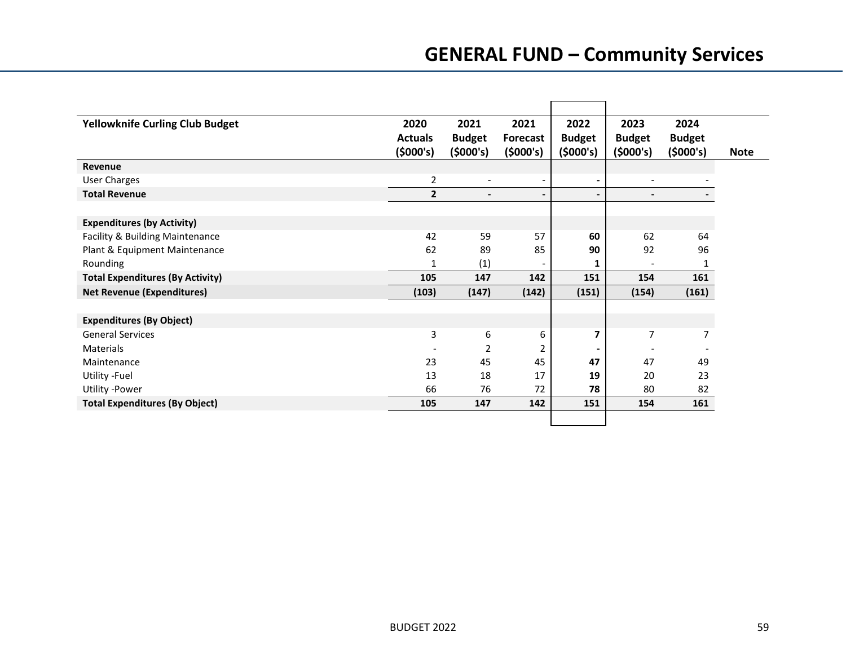# **GENERAL FUND – Community Services**

| <b>Yellowknife Curling Club Budget</b>  | 2020           | 2021                     | 2021                     | 2022           | 2023                     | 2024          |             |
|-----------------------------------------|----------------|--------------------------|--------------------------|----------------|--------------------------|---------------|-------------|
|                                         | <b>Actuals</b> | <b>Budget</b>            | <b>Forecast</b>          | <b>Budget</b>  | <b>Budget</b>            | <b>Budget</b> |             |
|                                         | (5000's)       | (5000's)                 | (5000's)                 | (5000's)       | (\$000's)                | (5000's)      | <b>Note</b> |
| Revenue                                 |                |                          |                          |                |                          |               |             |
| <b>User Charges</b>                     | 2              | $\overline{\phantom{a}}$ | $\overline{\phantom{a}}$ | $\blacksquare$ | $\overline{\phantom{a}}$ |               |             |
| <b>Total Revenue</b>                    | 2              | $\blacksquare$           | $\blacksquare$           | $\blacksquare$ | $\overline{\phantom{a}}$ |               |             |
|                                         |                |                          |                          |                |                          |               |             |
| <b>Expenditures (by Activity)</b>       |                |                          |                          |                |                          |               |             |
| Facility & Building Maintenance         | 42             | 59                       | 57                       | 60             | 62                       | 64            |             |
| Plant & Equipment Maintenance           | 62             | 89                       | 85                       | 90             | 92                       | 96            |             |
| Rounding                                | 1              | (1)                      |                          | 1              |                          | 1             |             |
| <b>Total Expenditures (By Activity)</b> | 105            | 147                      | 142                      | 151            | 154                      | 161           |             |
| <b>Net Revenue (Expenditures)</b>       | (103)          | (147)                    | (142)                    | (151)          | (154)                    | (161)         |             |
|                                         |                |                          |                          |                |                          |               |             |
| <b>Expenditures (By Object)</b>         |                |                          |                          |                |                          |               |             |
| <b>General Services</b>                 | 3              | 6                        | 6                        | 7              | 7                        | 7             |             |
| Materials                               |                | 2                        | 2                        |                |                          |               |             |
| Maintenance                             | 23             | 45                       | 45                       | 47             | 47                       | 49            |             |
| Utility - Fuel                          | 13             | 18                       | 17                       | 19             | 20                       | 23            |             |
| <b>Utility -Power</b>                   | 66             | 76                       | 72                       | 78             | 80                       | 82            |             |
| <b>Total Expenditures (By Object)</b>   | 105            | 147                      | 142                      | 151            | 154                      | 161           |             |
|                                         |                |                          |                          |                |                          |               |             |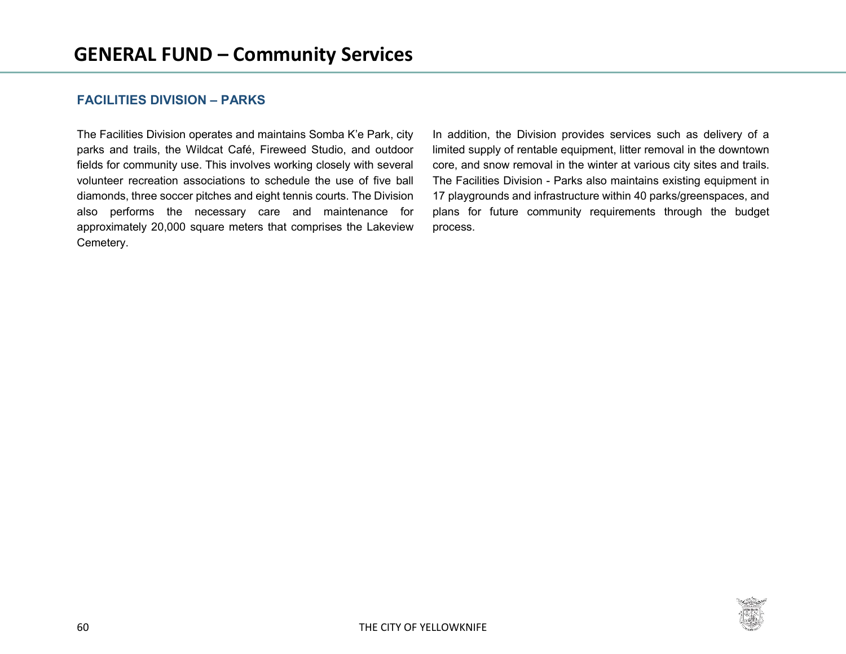## **FACILITIES DIVISION – PARKS**

The Facilities Division operates and maintains Somba K'e Park, city parks and trails, the Wildcat Café, Fireweed Studio, and outdoor fields for community use. This involves working closely with several volunteer recreation associations to schedule the use of five ball diamonds, three soccer pitches and eight tennis courts. The Division also performs the necessary care and maintenance for approximately 20,000 square meters that comprises the Lakeview Cemetery.

In addition, the Division provides services such as delivery of a limited supply of rentable equipment, litter removal in the downtown core, and snow removal in the winter at various city sites and trails. The Facilities Division - Parks also maintains existing equipment in 17 playgrounds and infrastructure within 40 parks/greenspaces, and plans for future community requirements through the budget process.

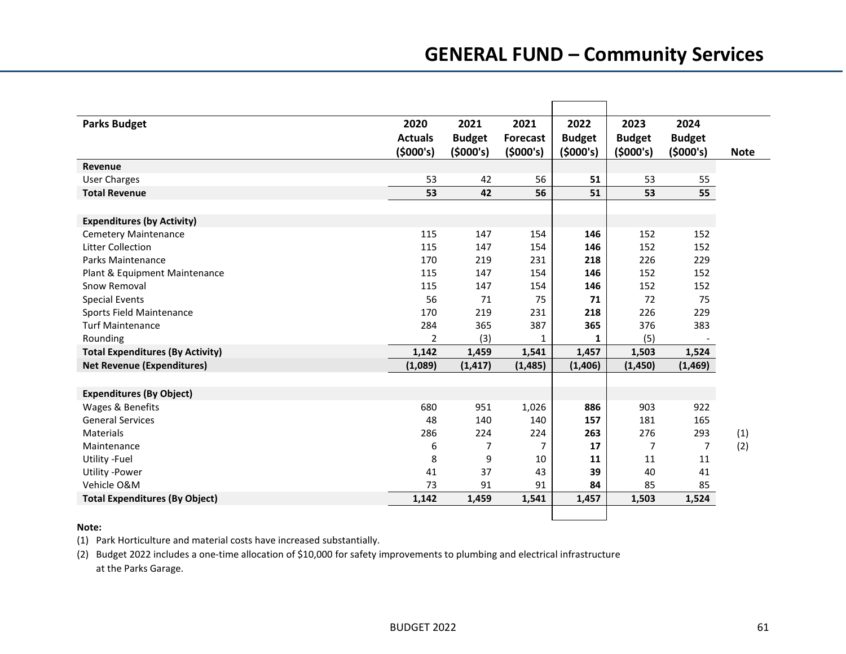| <b>Parks Budget</b>                     | 2020           | 2021           | 2021            | 2022          | 2023           | 2024           |             |
|-----------------------------------------|----------------|----------------|-----------------|---------------|----------------|----------------|-------------|
|                                         | <b>Actuals</b> | <b>Budget</b>  | <b>Forecast</b> | <b>Budget</b> | <b>Budget</b>  | <b>Budget</b>  |             |
|                                         | (5000's)       | (5000's)       | (5000's)        | (5000's)      | (5000's)       | (5000's)       | <b>Note</b> |
| Revenue                                 |                |                |                 |               |                |                |             |
| <b>User Charges</b>                     | 53             | 42             | 56              | 51            | 53             | 55             |             |
| <b>Total Revenue</b>                    | 53             | 42             | 56              | 51            | 53             | 55             |             |
|                                         |                |                |                 |               |                |                |             |
| <b>Expenditures (by Activity)</b>       |                |                |                 |               |                |                |             |
| Cemetery Maintenance                    | 115            | 147            | 154             | 146           | 152            | 152            |             |
| <b>Litter Collection</b>                | 115            | 147            | 154             | 146           | 152            | 152            |             |
| Parks Maintenance                       | 170            | 219            | 231             | 218           | 226            | 229            |             |
| Plant & Equipment Maintenance           | 115            | 147            | 154             | 146           | 152            | 152            |             |
| Snow Removal                            | 115            | 147            | 154             | 146           | 152            | 152            |             |
| <b>Special Events</b>                   | 56             | 71             | 75              | 71            | 72             | 75             |             |
| Sports Field Maintenance                | 170            | 219            | 231             | 218           | 226            | 229            |             |
| <b>Turf Maintenance</b>                 | 284            | 365            | 387             | 365           | 376            | 383            |             |
| Rounding                                | $\overline{2}$ | (3)            | 1               | 1             | (5)            |                |             |
| <b>Total Expenditures (By Activity)</b> | 1,142          | 1,459          | 1,541           | 1,457         | 1,503          | 1,524          |             |
| <b>Net Revenue (Expenditures)</b>       | (1,089)        | (1, 417)       | (1, 485)        | (1,406)       | (1, 450)       | (1, 469)       |             |
|                                         |                |                |                 |               |                |                |             |
| <b>Expenditures (By Object)</b>         |                |                |                 |               |                |                |             |
| Wages & Benefits                        | 680            | 951            | 1,026           | 886           | 903            | 922            |             |
| <b>General Services</b>                 | 48             | 140            | 140             | 157           | 181            | 165            |             |
| Materials                               | 286            | 224            | 224             | 263           | 276            | 293            | (1)         |
| Maintenance                             | 6              | $\overline{7}$ | $\overline{7}$  | 17            | $\overline{7}$ | $\overline{7}$ | (2)         |
| Utility -Fuel                           | 8              | 9              | 10              | 11            | 11             | 11             |             |
| <b>Utility -Power</b>                   | 41             | 37             | 43              | 39            | 40             | 41             |             |
| Vehicle O&M                             | 73             | 91             | 91              | 84            | 85             | 85             |             |
| <b>Total Expenditures (By Object)</b>   | 1,142          | 1,459          | 1,541           | 1,457         | 1,503          | 1,524          |             |
|                                         |                |                |                 |               |                |                |             |

#### **Note:**

(1) Park Horticulture and material costs have increased substantially.

(2) Budget 2022 includes a one-time allocation of \$10,000 for safety improvements to plumbing and electrical infrastructure at the Parks Garage.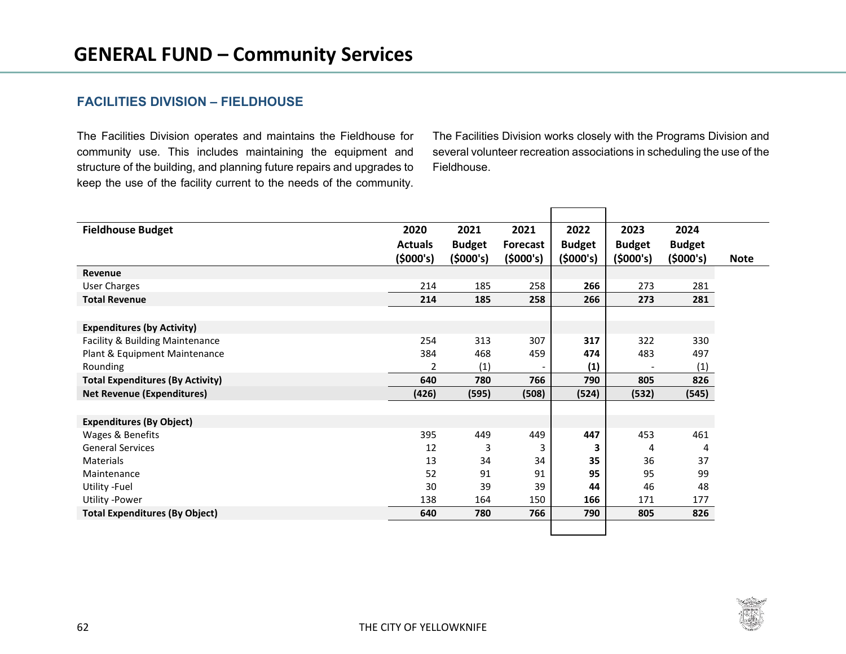### **FACILITIES DIVISION – FIELDHOUSE**

The Facilities Division operates and maintains the Fieldhouse for community use. This includes maintaining the equipment and structure of the building, and planning future repairs and upgrades to keep the use of the facility current to the needs of the community. The Facilities Division works closely with the Programs Division and several volunteer recreation associations in scheduling the use of the Fieldhouse.

| <b>Fieldhouse Budget</b>                | 2020           | 2021          | 2021            | 2022          | 2023          | 2024          |             |
|-----------------------------------------|----------------|---------------|-----------------|---------------|---------------|---------------|-------------|
|                                         | <b>Actuals</b> | <b>Budget</b> | <b>Forecast</b> | <b>Budget</b> | <b>Budget</b> | <b>Budget</b> |             |
|                                         | (5000's)       | (5000's)      | (5000's)        | (5000's)      | (5000's)      | (5000's)      | <b>Note</b> |
| Revenue                                 |                |               |                 |               |               |               |             |
| <b>User Charges</b>                     | 214            | 185           | 258             | 266           | 273           | 281           |             |
| <b>Total Revenue</b>                    | 214            | 185           | 258             | 266           | 273           | 281           |             |
|                                         |                |               |                 |               |               |               |             |
| <b>Expenditures (by Activity)</b>       |                |               |                 |               |               |               |             |
| Facility & Building Maintenance         | 254            | 313           | 307             | 317           | 322           | 330           |             |
| Plant & Equipment Maintenance           | 384            | 468           | 459             | 474           | 483           | 497           |             |
| Rounding                                | 2              | (1)           |                 | (1)           |               | (1)           |             |
| <b>Total Expenditures (By Activity)</b> | 640            | 780           | 766             | 790           | 805           | 826           |             |
| <b>Net Revenue (Expenditures)</b>       | (426)          | (595)         | (508)           | (524)         | (532)         | (545)         |             |
|                                         |                |               |                 |               |               |               |             |
| <b>Expenditures (By Object)</b>         |                |               |                 |               |               |               |             |
| Wages & Benefits                        | 395            | 449           | 449             | 447           | 453           | 461           |             |
| <b>General Services</b>                 | 12             | 3             | 3               | 3             | 4             | 4             |             |
| Materials                               | 13             | 34            | 34              | 35            | 36            | 37            |             |
| Maintenance                             | 52             | 91            | 91              | 95            | 95            | 99            |             |
| Utility -Fuel                           | 30             | 39            | 39              | 44            | 46            | 48            |             |
| <b>Utility -Power</b>                   | 138            | 164           | 150             | 166           | 171           | 177           |             |
| <b>Total Expenditures (By Object)</b>   | 640            | 780           | 766             | 790           | 805           | 826           |             |
|                                         |                |               |                 |               |               |               |             |

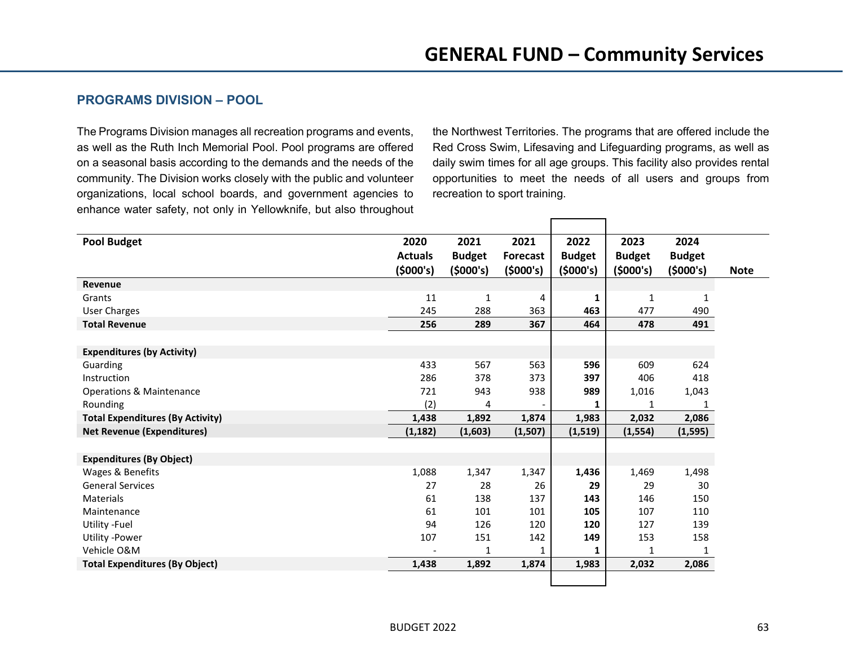## **PROGRAMS DIVISION – POOL**

The Programs Division manages all recreation programs and events, as well as the Ruth Inch Memorial Pool. Pool programs are offered on a seasonal basis according to the demands and the needs of the community. The Division works closely with the public and volunteer organizations, local school boards, and government agencies to enhance water safety, not only in Yellowknife, but also throughout the Northwest Territories. The programs that are offered include the Red Cross Swim, Lifesaving and Lifeguarding programs, as well as daily swim times for all age groups. This facility also provides rental opportunities to meet the needs of all users and groups from recreation to sport training.

| <b>Pool Budget</b>                      | 2020           | 2021          | 2021            | 2022          | 2023          | 2024          |             |
|-----------------------------------------|----------------|---------------|-----------------|---------------|---------------|---------------|-------------|
|                                         | <b>Actuals</b> | <b>Budget</b> | <b>Forecast</b> | <b>Budget</b> | <b>Budget</b> | <b>Budget</b> |             |
|                                         | (5000's)       | (5000's)      | (5000's)        | (5000's)      | (5000's)      | (5000's)      | <b>Note</b> |
| Revenue                                 |                |               |                 |               |               |               |             |
| Grants                                  | 11             | 1             | 4               | 1             | $\mathbf{1}$  | 1             |             |
| <b>User Charges</b>                     | 245            | 288           | 363             | 463           | 477           | 490           |             |
| <b>Total Revenue</b>                    | 256            | 289           | 367             | 464           | 478           | 491           |             |
|                                         |                |               |                 |               |               |               |             |
| <b>Expenditures (by Activity)</b>       |                |               |                 |               |               |               |             |
| Guarding                                | 433            | 567           | 563             | 596           | 609           | 624           |             |
| Instruction                             | 286            | 378           | 373             | 397           | 406           | 418           |             |
| <b>Operations &amp; Maintenance</b>     | 721            | 943           | 938             | 989           | 1,016         | 1,043         |             |
| Rounding                                | (2)            | 4             |                 | 1             | 1             | 1             |             |
| <b>Total Expenditures (By Activity)</b> | 1,438          | 1,892         | 1,874           | 1,983         | 2,032         | 2,086         |             |
| <b>Net Revenue (Expenditures)</b>       | (1, 182)       | (1,603)       | (1,507)         | (1, 519)      | (1, 554)      | (1, 595)      |             |
|                                         |                |               |                 |               |               |               |             |
| <b>Expenditures (By Object)</b>         |                |               |                 |               |               |               |             |
| Wages & Benefits                        | 1,088          | 1,347         | 1,347           | 1,436         | 1,469         | 1,498         |             |
| <b>General Services</b>                 | 27             | 28            | 26              | 29            | 29            | 30            |             |
| <b>Materials</b>                        | 61             | 138           | 137             | 143           | 146           | 150           |             |
| Maintenance                             | 61             | 101           | 101             | 105           | 107           | 110           |             |
| Utility - Fuel                          | 94             | 126           | 120             | 120           | 127           | 139           |             |
| Utility -Power                          | 107            | 151           | 142             | 149           | 153           | 158           |             |
| Vehicle O&M                             |                | 1             | 1               | 1             | 1             | 1             |             |
| <b>Total Expenditures (By Object)</b>   | 1,438          | 1,892         | 1,874           | 1,983         | 2,032         | 2,086         |             |
|                                         |                |               |                 |               |               |               |             |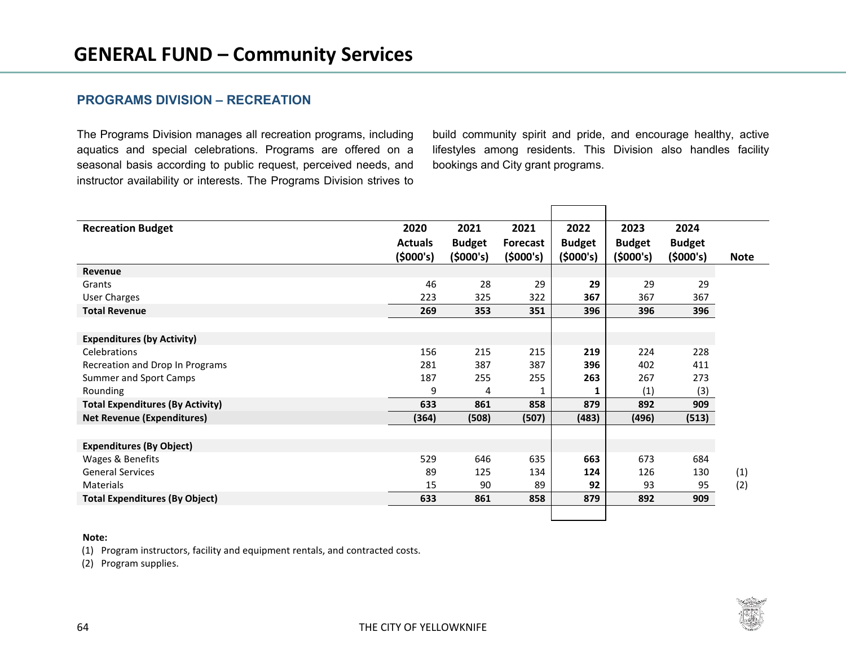## **PROGRAMS DIVISION – RECREATION**

The Programs Division manages all recreation programs, including aquatics and special celebrations. Programs are offered on a seasonal basis according to public request, perceived needs, and instructor availability or interests. The Programs Division strives to

build community spirit and pride, and encourage healthy, active lifestyles among residents. This Division also handles facility bookings and City grant programs.

| <b>Recreation Budget</b>                | 2020           | 2021          | 2021            | 2022          | 2023          | 2024          |             |
|-----------------------------------------|----------------|---------------|-----------------|---------------|---------------|---------------|-------------|
|                                         | <b>Actuals</b> | <b>Budget</b> | <b>Forecast</b> | <b>Budget</b> | <b>Budget</b> | <b>Budget</b> |             |
|                                         | (5000's)       | (5000's)      | (5000's)        | (5000's)      | (5000's)      | (5000's)      | <b>Note</b> |
| Revenue                                 |                |               |                 |               |               |               |             |
| Grants                                  | 46             | 28            | 29              | 29            | 29            | 29            |             |
| <b>User Charges</b>                     | 223            | 325           | 322             | 367           | 367           | 367           |             |
| <b>Total Revenue</b>                    | 269            | 353           | 351             | 396           | 396           | 396           |             |
|                                         |                |               |                 |               |               |               |             |
| <b>Expenditures (by Activity)</b>       |                |               |                 |               |               |               |             |
| Celebrations                            | 156            | 215           | 215             | 219           | 224           | 228           |             |
| Recreation and Drop In Programs         | 281            | 387           | 387             | 396           | 402           | 411           |             |
| Summer and Sport Camps                  | 187            | 255           | 255             | 263           | 267           | 273           |             |
| Rounding                                | 9              | 4             | 1               | 1             | (1)           | (3)           |             |
| <b>Total Expenditures (By Activity)</b> | 633            | 861           | 858             | 879           | 892           | 909           |             |
| <b>Net Revenue (Expenditures)</b>       | (364)          | (508)         | (507)           | (483)         | (496)         | (513)         |             |
|                                         |                |               |                 |               |               |               |             |
| <b>Expenditures (By Object)</b>         |                |               |                 |               |               |               |             |
| Wages & Benefits                        | 529            | 646           | 635             | 663           | 673           | 684           |             |
| <b>General Services</b>                 | 89             | 125           | 134             | 124           | 126           | 130           | (1)         |
| Materials                               | 15             | 90            | 89              | 92            | 93            | 95            | (2)         |
| <b>Total Expenditures (By Object)</b>   | 633            | 861           | 858             | 879           | 892           | 909           |             |
|                                         |                |               |                 |               |               |               |             |

#### **Note:**

(1) Program instructors, facility and equipment rentals, and contracted costs.

(2) Program supplies.

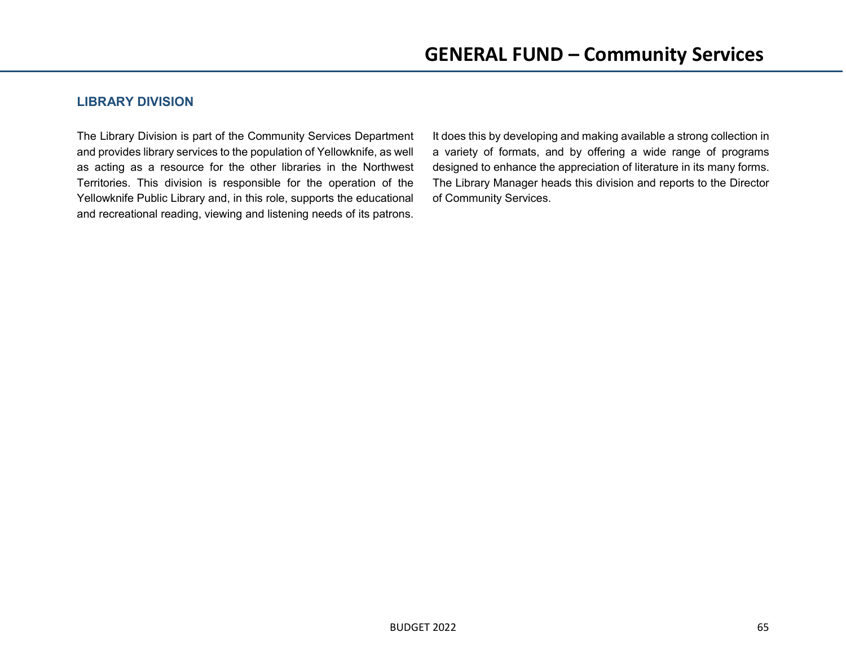## **LIBRARY DIVISION**

The Library Division is part of the Community Services Department and provides library services to the population of Yellowknife, as well as acting as a resource for the other libraries in the Northwest Territories. This division is responsible for the operation of the Yellowknife Public Library and, in this role, supports the educational and recreational reading, viewing and listening needs of its patrons.

It does this by developing and making available a strong collection in a variety of formats, and by offering a wide range of programs designed to enhance the appreciation of literature in its many forms. The Library Manager heads this division and reports to the Director of Community Services.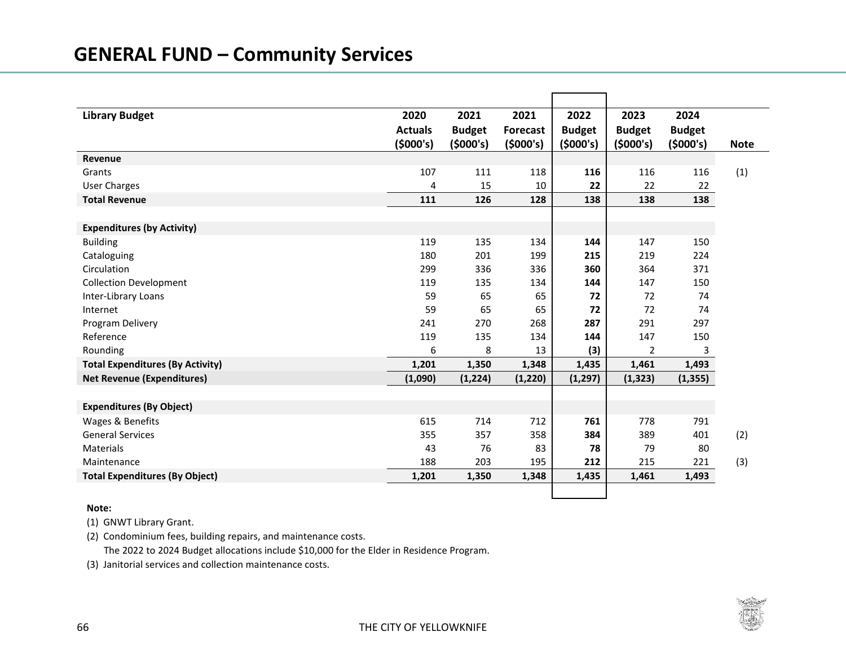| <b>Library Budget</b>                   | 2020<br><b>Actuals</b> | 2021<br><b>Budget</b> | 2021<br><b>Forecast</b> | 2022<br><b>Budget</b> | 2023<br><b>Budget</b> | 2024<br><b>Budget</b> |             |
|-----------------------------------------|------------------------|-----------------------|-------------------------|-----------------------|-----------------------|-----------------------|-------------|
|                                         | (5000's)               | (5000's)              | (5000's)                | (5000's)              | (5000's)              | (5000's)              | <b>Note</b> |
| Revenue                                 |                        |                       |                         |                       |                       |                       |             |
| Grants                                  | 107                    | 111                   | 118                     | 116                   | 116                   | 116                   | (1)         |
| <b>User Charges</b>                     | 4                      | 15                    | 10                      | 22                    | 22                    | 22                    |             |
| <b>Total Revenue</b>                    | 111                    | 126                   | 128                     | 138                   | 138                   | 138                   |             |
|                                         |                        |                       |                         |                       |                       |                       |             |
| <b>Expenditures (by Activity)</b>       |                        |                       |                         |                       |                       |                       |             |
| <b>Building</b>                         | 119                    | 135                   | 134                     | 144                   | 147                   | 150                   |             |
| Cataloguing                             | 180                    | 201                   | 199                     | 215                   | 219                   | 224                   |             |
| Circulation                             | 299                    | 336                   | 336                     | 360                   | 364                   | 371                   |             |
| <b>Collection Development</b>           | 119                    | 135                   | 134                     | 144                   | 147                   | 150                   |             |
| Inter-Library Loans                     | 59                     | 65                    | 65                      | 72                    | 72                    | 74                    |             |
| Internet                                | 59                     | 65                    | 65                      | 72                    | 72                    | 74                    |             |
| Program Delivery                        | 241                    | 270                   | 268                     | 287                   | 291                   | 297                   |             |
| Reference                               | 119                    | 135                   | 134                     | 144                   | 147                   | 150                   |             |
| Rounding                                | 6                      | 8                     | 13                      | (3)                   | $\overline{2}$        | 3                     |             |
| <b>Total Expenditures (By Activity)</b> | 1,201                  | 1,350                 | 1,348                   | 1,435                 | 1,461                 | 1,493                 |             |
| <b>Net Revenue (Expenditures)</b>       | (1,090)                | (1, 224)              | (1, 220)                | (1, 297)              | (1, 323)              | (1, 355)              |             |
|                                         |                        |                       |                         |                       |                       |                       |             |
| <b>Expenditures (By Object)</b>         |                        |                       |                         |                       |                       |                       |             |
| Wages & Benefits                        | 615                    | 714                   | 712                     | 761                   | 778                   | 791                   |             |
| <b>General Services</b>                 | 355                    | 357                   | 358                     | 384                   | 389                   | 401                   | (2)         |
| Materials                               | 43                     | 76                    | 83                      | 78                    | 79                    | 80                    |             |
| Maintenance                             | 188                    | 203                   | 195                     | 212                   | 215                   | 221                   | (3)         |
| <b>Total Expenditures (By Object)</b>   | 1,201                  | 1,350                 | 1,348                   | 1,435                 | 1,461                 | 1,493                 |             |
|                                         |                        |                       |                         |                       |                       |                       |             |

#### **Note:**

(1) GNWT Library Grant.

(2) Condominium fees, building repairs, and maintenance costs.

The 2022 to 2024 Budget allocations include \$10,000 for the Elder in Residence Program.

(3) Janitorial services and collection maintenance costs.

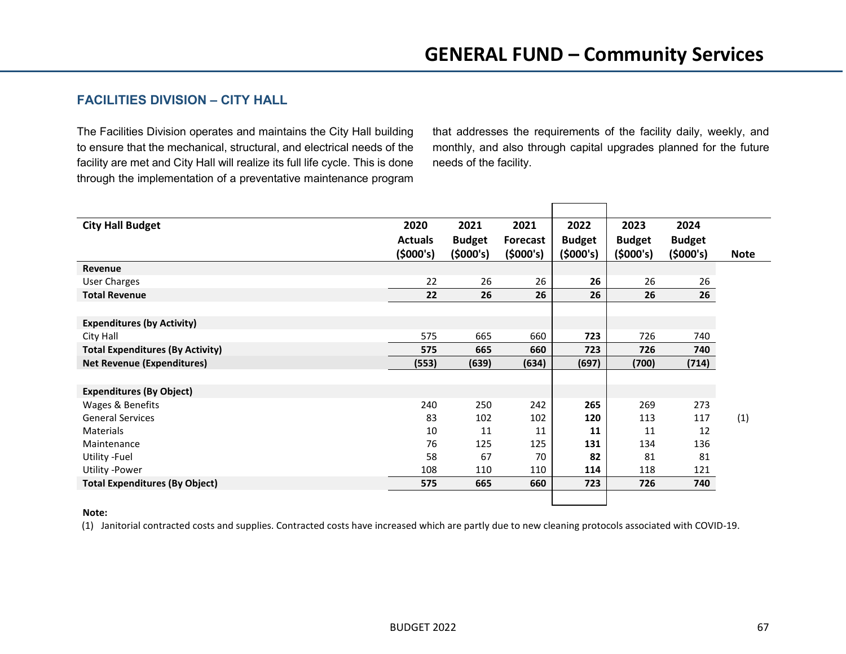## **FACILITIES DIVISION – CITY HALL**

The Facilities Division operates and maintains the City Hall building to ensure that the mechanical, structural, and electrical needs of the facility are met and City Hall will realize its full life cycle. This is done through the implementation of a preventative maintenance program that addresses the requirements of the facility daily, weekly, and monthly, and also through capital upgrades planned for the future needs of the facility.

| <b>City Hall Budget</b>                 | 2020           | 2021          | 2021            | 2022          | 2023          | 2024          |             |
|-----------------------------------------|----------------|---------------|-----------------|---------------|---------------|---------------|-------------|
|                                         | <b>Actuals</b> | <b>Budget</b> | <b>Forecast</b> | <b>Budget</b> | <b>Budget</b> | <b>Budget</b> |             |
|                                         | (\$000's)      | (5000's)      | (5000's)        | (5000's)      | (5000's)      | (5000's)      | <b>Note</b> |
| Revenue                                 |                |               |                 |               |               |               |             |
| <b>User Charges</b>                     | 22             | 26            | 26              | 26            | 26            | 26            |             |
| <b>Total Revenue</b>                    | 22             | 26            | 26              | 26            | 26            | 26            |             |
|                                         |                |               |                 |               |               |               |             |
| <b>Expenditures (by Activity)</b>       |                |               |                 |               |               |               |             |
| City Hall                               | 575            | 665           | 660             | 723           | 726           | 740           |             |
| <b>Total Expenditures (By Activity)</b> | 575            | 665           | 660             | 723           | 726           | 740           |             |
| <b>Net Revenue (Expenditures)</b>       | (553)          | (639)         | (634)           | (697)         | (700)         | (714)         |             |
|                                         |                |               |                 |               |               |               |             |
| <b>Expenditures (By Object)</b>         |                |               |                 |               |               |               |             |
| Wages & Benefits                        | 240            | 250           | 242             | 265           | 269           | 273           |             |
| <b>General Services</b>                 | 83             | 102           | 102             | 120           | 113           | 117           | (1)         |
| Materials                               | 10             | 11            | 11              | 11            | 11            | 12            |             |
| Maintenance                             | 76             | 125           | 125             | 131           | 134           | 136           |             |
| Utility -Fuel                           | 58             | 67            | 70              | 82            | 81            | 81            |             |
| Utility -Power                          | 108            | 110           | 110             | 114           | 118           | 121           |             |
| <b>Total Expenditures (By Object)</b>   | 575            | 665           | 660             | 723           | 726           | 740           |             |
|                                         |                |               |                 |               |               |               |             |

#### **Note:**

(1) Janitorial contracted costs and supplies. Contracted costs have increased which are partly due to new cleaning protocols associated with COVID-19.